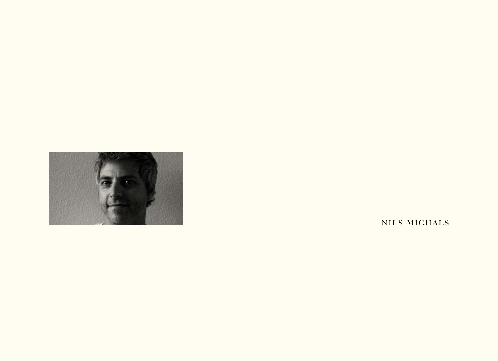

NILS MICHALS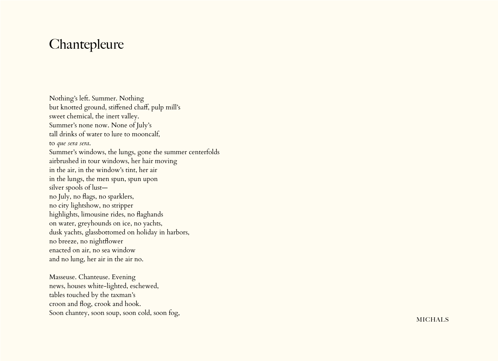## **Chantepleure**

Nothing's left. Summer. Nothing but knotted ground, stiffened chaff, pulp mill's sweet chemical, the inert valley. Summer's none now. None of July's tall drinks of water to lure to mooncalf, to *que sera sera* . Summer's windows, the lungs, gone the summer centerfolds airbrushed in tour windows, her hair moving in the air, in the window's tint, her air in the lungs, the men spun, spun upon silver spools of lust no July, no flags, no sparklers, no city lightshow, no stripper highlights, limousine rides, no flaghands on water, greyhounds on ice, no yachts, dusk yachts, glassbottomed on holiday in harbors, no breeze, no nightflower enacted on air, no sea window and no lung, her air in the air no.

Masseuse. Chanteuse. Evening news, houses white-lighted, eschewed, tables touched by the taxman's croon and flog, crook and hook. Soon chantey, soon soup, soon cold, soon fog,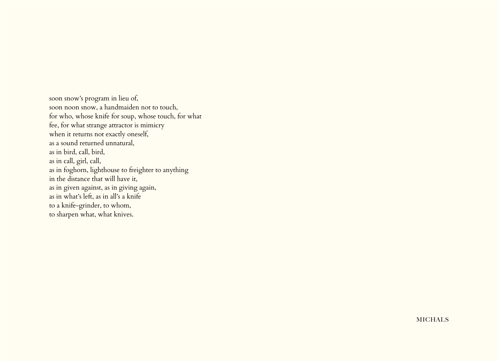soon snow's program in lieu of, soon noon snow, a handmaiden not to touch, for who, whose knife for soup, whose touch, for what fee, for what strange attractor is mimicry when it returns not exactly oneself, as a sound returned unnatural, as in bird, call, bird, as in call, girl, call, as in foghorn, lighthouse to freighter to anything in the distance that will have it, as in given against, as in giving again, as in what's left, as in all's a knife to a knife-grinder, to whom, to sharpen what, what knives.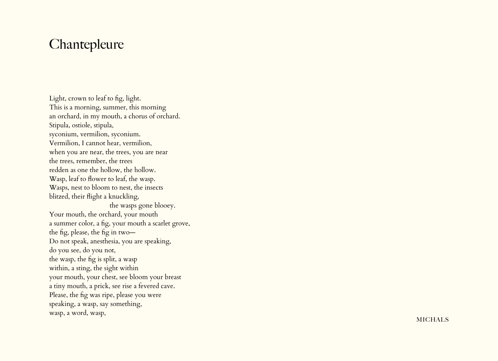## **Chantepleure**

Light, crown to leaf to fig, light. This is a morning, summer, this morning an orchard, in my mouth, a chorus of orchard. Stipula, ostiole, stipula, syconium, vermilion, syconium. Vermilion, I cannot hear, vermilion, when you are near, the trees, you are near the trees, remember, the trees redden as one the hollow, the hollow. Wasp, leaf to flower to leaf, the wasp. Wasps, nest to bloom to nest, the insects blitzed, their flight a knuckling, the wasps gone blooey. Your mouth, the orchard, your mouth a summer color, a fig, your mouth a scarlet grove, the fig, please, the fig in two— Do not speak, anesthesia, you are speaking, do you see, do you not, the wasp, the fig is split, a wasp within, a sting, the sight within your mouth, your chest, see bloom your breast a tiny mouth, a prick, see rise a fevered cave. Please, the fig was ripe, please you were speaking, a wasp, say something, wasp, a word, wasp,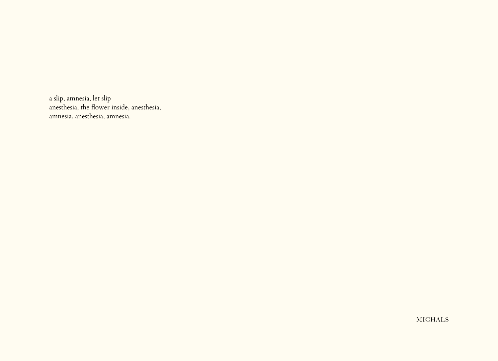a slip, amnesia, let slip anesthesia, the flower inside, anesthesia, amnesia, anesthesia, amnesia.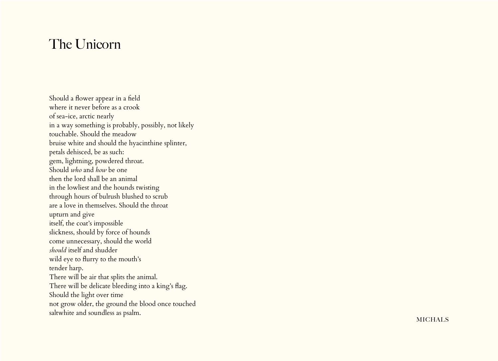## The Unicorn

Should a flower appear in a field where it never before as a crook of sea-ice, arctic nearly in a way something is probably, possibly, not likely touchable. Should the meadow bruise white and should the hyacinthine splinter, petals dehisced, be as such: gem, lightning, powdered throat. Should *who* and *how* be one then the lord shall be an animal in the lowliest and the hounds twisting through hours of bulrush blushed to scrub are a love in themselves. Should the throat upturn and give itself, the coat's impossible slickness, should by force of hounds come unnecessary, should the world *should* itself and shudder wild eye to flurry to the mouth's tender harp. There will be air that splits the animal. There will be delicate bleeding into a king's flag. Should the light over time not grow older, the ground the blood once touched saltwhite and soundless as psalm.